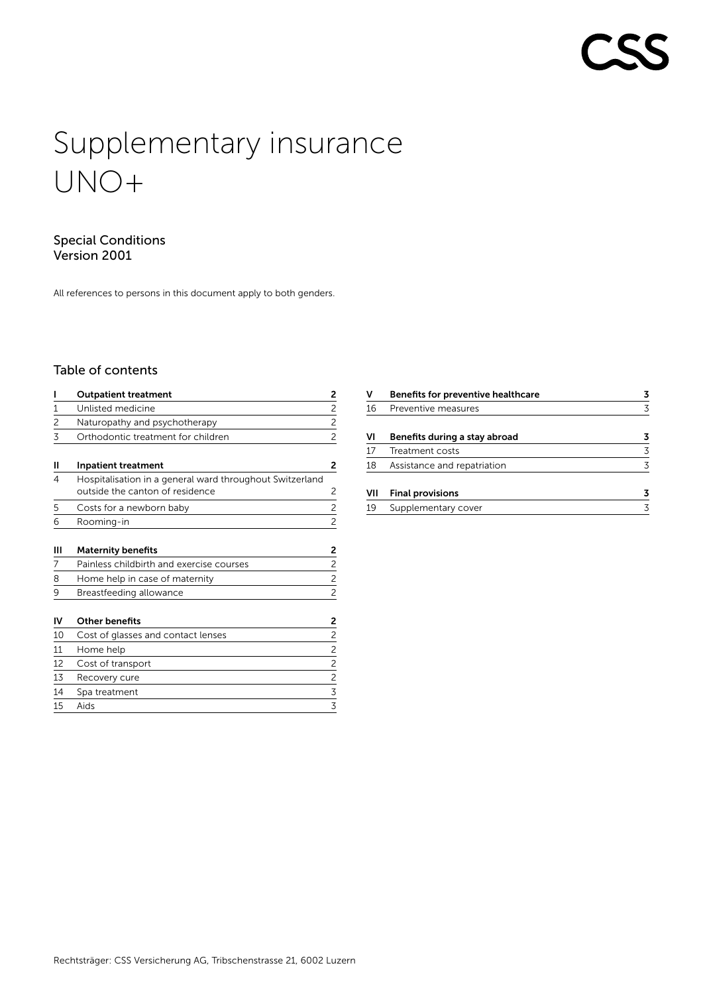# Supplementary insurance UNO+

# Special Conditions Version 2001

All references to persons in this document apply to both genders.

# Table of contents

| ı              | <b>Outpatient treatment</b>                                                                 | 2              |
|----------------|---------------------------------------------------------------------------------------------|----------------|
| 1              | Unlisted medicine                                                                           | $\overline{c}$ |
| $\overline{2}$ | Naturopathy and psychotherapy                                                               | $\overline{2}$ |
| 3              | Orthodontic treatment for children                                                          | $\overline{c}$ |
| н              | <b>Inpatient treatment</b>                                                                  | 2              |
| 4              | Hospitalisation in a general ward throughout Switzerland<br>outside the canton of residence | 2              |
| 5              | Costs for a newborn baby                                                                    | 2              |
| 6              | Rooming-in                                                                                  | 2              |
| Ш              | <b>Maternity benefits</b>                                                                   | 2              |
| 7              | Painless childbirth and exercise courses                                                    | $\overline{c}$ |
| 8              | Home help in case of maternity                                                              | $\overline{c}$ |
| 9              | Breastfeeding allowance                                                                     | $\overline{c}$ |
| IV             | <b>Other benefits</b>                                                                       | 2              |
| 10             | Cost of glasses and contact lenses                                                          | $\overline{c}$ |
| 11             | Home help                                                                                   | 2              |
| 12             | Cost of transport                                                                           | $\overline{2}$ |
| 13             | Recovery cure                                                                               | $\overline{2}$ |
| 14             | Spa treatment                                                                               |                |
| 15             | Aids                                                                                        | $\frac{3}{3}$  |

| ٧   | <b>Benefits for preventive healthcare</b> | 3 |
|-----|-------------------------------------------|---|
| 16  | Preventive measures                       | 3 |
| ٧ı  | Benefits during a stay abroad             | 3 |
| 17  | Treatment costs                           | 3 |
| 18  | Assistance and repatriation               | 3 |
| VII | <b>Final provisions</b>                   | 3 |
| 19  | Supplementary cover                       | 3 |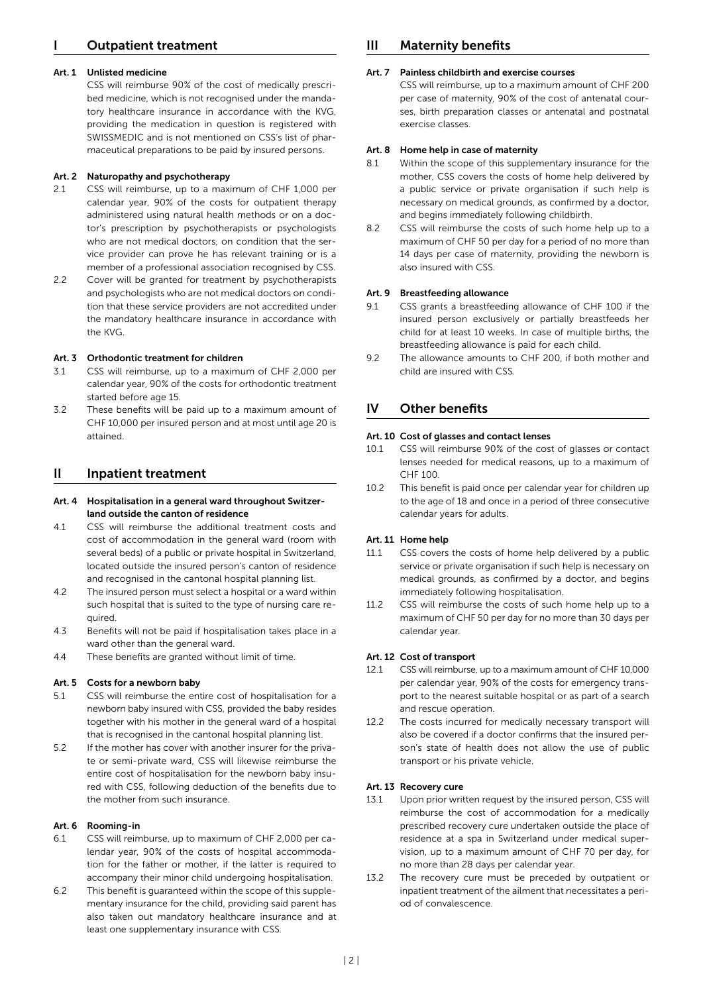# <span id="page-1-0"></span>**Outpatient treatment**

## Art. 1 Unlisted medicine

CSS will reimburse 90 % of the cost of medically prescribed medicine, which is not recognised under the mandatory healthcare insurance in accordance with the KVG, providing the medication in question is registered with SWISSMEDIC and is not mentioned on CSS's list of pharmaceutical preparations to be paid by insured persons.

## Art. 2 Naturopathy and psychotherapy

- 2.1 CSS will reimburse, up to a maximum of CHF 1,000 per calendar year, 90 % of the costs for outpatient therapy administered using natural health methods or on a doctor's prescription by psychotherapists or psychologists who are not medical doctors, on condition that the service provider can prove he has relevant training or is a member of a professional association recognised by CSS.
- 2.2 Cover will be granted for treatment by psychotherapists and psychologists who are not medical doctors on condition that these service providers are not accredited under the mandatory healthcare insurance in accordance with the KVG.

## Art. 3 Orthodontic treatment for children

- 3.1 CSS will reimburse, up to a maximum of CHF 2,000 per calendar year, 90 % of the costs for orthodontic treatment started before age 15.
- 3.2 These benefits will be paid up to a maximum amount of CHF 10,000 per insured person and at most until age 20 is attained.

# II Inpatient treatment

# Art. 4 Hospitalisation in a general ward throughout Switzerland outside the canton of residence

- 4.1 CSS will reimburse the additional treatment costs and cost of accommodation in the general ward (room with several beds) of a public or private hospital in Switzerland, located outside the insured person's canton of residence and recognised in the cantonal hospital planning list.
- 4.2 The insured person must select a hospital or a ward within such hospital that is suited to the type of nursing care required.
- 4.3 Benefits will not be paid if hospitalisation takes place in a ward other than the general ward.
- 4.4 These benefits are granted without limit of time.

#### Art. 5 Costs for a newborn baby

- 5.1 CSS will reimburse the entire cost of hospitalisation for a newborn baby insured with CSS, provided the baby resides together with his mother in the general ward of a hospital that is recognised in the cantonal hospital planning list.
- 5.2 If the mother has cover with another insurer for the private or semi-private ward, CSS will likewise reimburse the entire cost of hospitalisation for the newborn baby insured with CSS, following deduction of the benefits due to the mother from such insurance.

#### Art. 6 Rooming-in

- 6.1 CSS will reimburse, up to maximum of CHF 2,000 per calendar year, 90 % of the costs of hospital accommodation for the father or mother, if the latter is required to accompany their minor child undergoing hospitalisation.
- 6.2 This benefit is guaranteed within the scope of this supplementary insurance for the child, providing said parent has also taken out mandatory healthcare insurance and at least one supplementary insurance with CSS.

# III Maternity benefits

# Art. 7 Painless childbirth and exercise courses

CSS will reimburse, up to a maximum amount of CHF 200 per case of maternity, 90 % of the cost of antenatal courses, birth preparation classes or antenatal and postnatal exercise classes.

# Art. 8 Home help in case of maternity

- 8.1 Within the scope of this supplementary insurance for the mother, CSS covers the costs of home help delivered by a public service or private organisation if such help is necessary on medical grounds, as confirmed by a doctor, and begins immediately following childbirth.
- 8.2 CSS will reimburse the costs of such home help up to a maximum of CHF 50 per day for a period of no more than 14 days per case of maternity, providing the newborn is also insured with CSS.

# Art. 9 Breastfeeding allowance

- 9.1 CSS grants a breastfeeding allowance of CHF 100 if the insured person exclusively or partially breastfeeds her child for at least 10 weeks. In case of multiple births, the breastfeeding allowance is paid for each child.
- 9.2 The allowance amounts to CHF 200, if both mother and child are insured with CSS.

# IV Other benefits

#### Art. 10 Cost of glasses and contact lenses

- 10.1 CSS will reimburse 90 % of the cost of glasses or contact lenses needed for medical reasons, up to a maximum of CHF 100.
- 10.2 This benefit is paid once per calendar year for children up to the age of 18 and once in a period of three consecutive calendar years for adults.

#### Art. 11 Home help

- 11.1 CSS covers the costs of home help delivered by a public service or private organisation if such help is necessary on medical grounds, as confirmed by a doctor, and begins immediately following hospitalisation.
- 11.2 CSS will reimburse the costs of such home help up to a maximum of CHF 50 per day for no more than 30 days per calendar year.

#### Art. 12 Cost of transport

- 12.1 CSS will reimburse, up to a maximum amount of CHF 10,000 per calendar year, 90 % of the costs for emergency transport to the nearest suitable hospital or as part of a search and rescue operation.
- 12.2 The costs incurred for medically necessary transport will also be covered if a doctor confirms that the insured person's state of health does not allow the use of public transport or his private vehicle.

#### Art. 13 Recovery cure

- 13.1 Upon prior written request by the insured person, CSS will reimburse the cost of accommodation for a medically prescribed recovery cure undertaken outside the place of residence at a spa in Switzerland under medical supervision, up to a maximum amount of CHF 70 per day, for no more than 28 days per calendar year.
- 13.2 The recovery cure must be preceded by outpatient or inpatient treatment of the ailment that necessitates a period of convalescence.